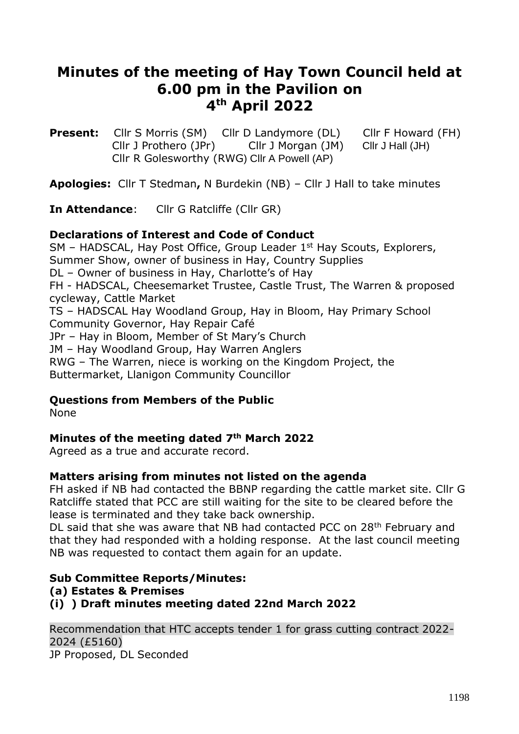# **Minutes of the meeting of Hay Town Council held at 6.00 pm in the Pavilion on 4 th April 2022**

**Present:** Cllr S Morris (SM) Cllr D Landymore (DL) Cllr F Howard (FH) Cllr J Prothero (JPr) Cllr J Morgan (JM) Cllr J Hall (JH) Cllr R Golesworthy (RWG) Cllr A Powell (AP)

**Apologies:** Cllr T Stedman**,** N Burdekin (NB) – Cllr J Hall to take minutes

**In Attendance:** Cllr G Ratcliffe (Cllr GR)

### **Declarations of Interest and Code of Conduct**

SM - HADSCAL, Hay Post Office, Group Leader 1<sup>st</sup> Hay Scouts, Explorers, Summer Show, owner of business in Hay, Country Supplies DL – Owner of business in Hay, Charlotte's of Hay FH - HADSCAL, Cheesemarket Trustee, Castle Trust, The Warren & proposed cycleway, Cattle Market TS – HADSCAL Hay Woodland Group, Hay in Bloom, Hay Primary School Community Governor, Hay Repair Café JPr – Hay in Bloom, Member of St Mary's Church JM – Hay Woodland Group, Hay Warren Anglers RWG – The Warren, niece is working on the Kingdom Project, the Buttermarket, Llanigon Community Councillor

#### **Questions from Members of the Public**

None

### **Minutes of the meeting dated 7th March 2022**

Agreed as a true and accurate record.

#### **Matters arising from minutes not listed on the agenda**

FH asked if NB had contacted the BBNP regarding the cattle market site. Cllr G Ratcliffe stated that PCC are still waiting for the site to be cleared before the lease is terminated and they take back ownership.

DL said that she was aware that NB had contacted PCC on 28<sup>th</sup> February and that they had responded with a holding response. At the last council meeting NB was requested to contact them again for an update.

#### **Sub Committee Reports/Minutes:**

#### **(a) Estates & Premises**

### **(i) ) Draft minutes meeting dated 22nd March 2022**

Recommendation that HTC accepts tender 1 for grass cutting contract 2022- 2024 (£5160) JP Proposed, DL Seconded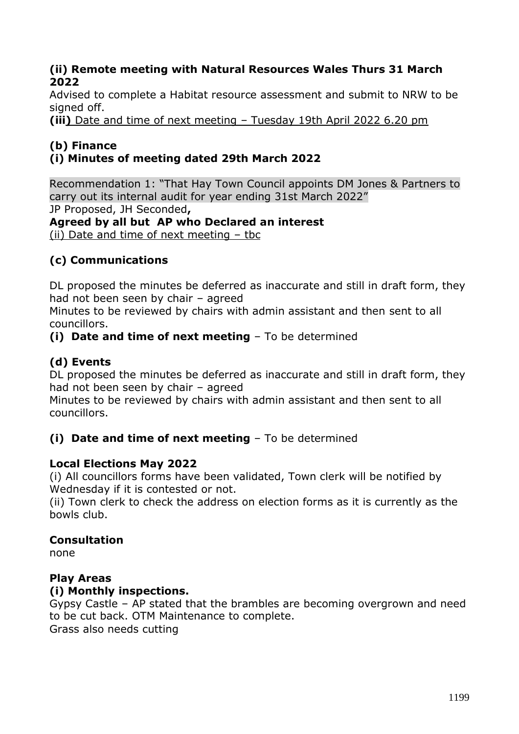### **(ii) Remote meeting with Natural Resources Wales Thurs 31 March 2022**

Advised to complete a Habitat resource assessment and submit to NRW to be signed off.

**(iii)** Date and time of next meeting – Tuesday 19th April 2022 6.20 pm

## **(b) Finance**

### **(i) Minutes of meeting dated 29th March 2022**

Recommendation 1: "That Hay Town Council appoints DM Jones & Partners to carry out its internal audit for year ending 31st March 2022" JP Proposed, JH Seconded**, Agreed by all but AP who Declared an interest**

(ii) Date and time of next meeting – tbc

### **(c) Communications**

DL proposed the minutes be deferred as inaccurate and still in draft form, they had not been seen by chair – agreed

Minutes to be reviewed by chairs with admin assistant and then sent to all councillors.

### **(i) Date and time of next meeting** – To be determined

## **(d) Events**

DL proposed the minutes be deferred as inaccurate and still in draft form, they had not been seen by chair – agreed

Minutes to be reviewed by chairs with admin assistant and then sent to all councillors.

### **(i) Date and time of next meeting** – To be determined

#### **Local Elections May 2022**

(i) All councillors forms have been validated, Town clerk will be notified by Wednesday if it is contested or not.

(ii) Town clerk to check the address on election forms as it is currently as the bowls club.

#### **Consultation**

none

#### **Play Areas (i) Monthly inspections.**

Gypsy Castle – AP stated that the brambles are becoming overgrown and need to be cut back. OTM Maintenance to complete. Grass also needs cutting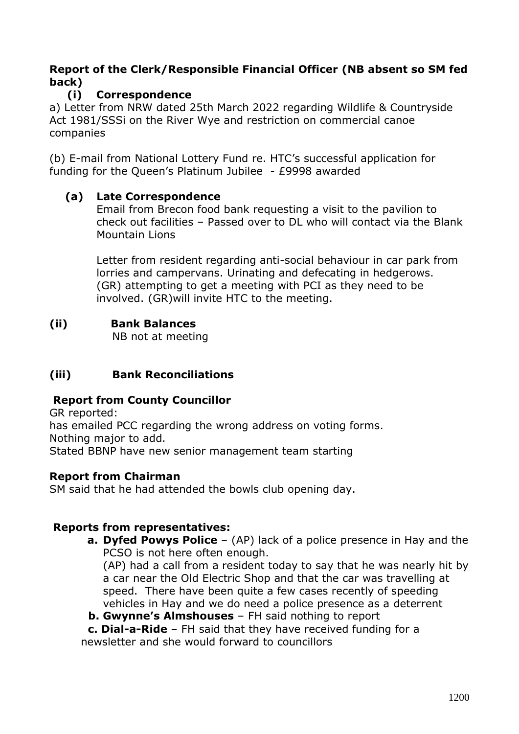### **Report of the Clerk/Responsible Financial Officer (NB absent so SM fed back)**

### **(i) Correspondence**

a) Letter from NRW dated 25th March 2022 regarding Wildlife & Countryside Act 1981/SSSi on the River Wye and restriction on commercial canoe companies

(b) E-mail from National Lottery Fund re. HTC's successful application for funding for the Queen's Platinum Jubilee - £9998 awarded

### **(a) Late Correspondence**

Email from Brecon food bank requesting a visit to the pavilion to check out facilities – Passed over to DL who will contact via the Blank Mountain Lions

Letter from resident regarding anti-social behaviour in car park from lorries and campervans. Urinating and defecating in hedgerows. (GR) attempting to get a meeting with PCI as they need to be involved. (GR)will invite HTC to the meeting.

### **(ii) Bank Balances**

NB not at meeting

## **(iii) Bank Reconciliations**

## **Report from County Councillor**

GR reported: has emailed PCC regarding the wrong address on voting forms. Nothing major to add. Stated BBNP have new senior management team starting

### **Report from Chairman**

SM said that he had attended the bowls club opening day.

## **Reports from representatives:**

**a. Dyfed Powys Police** – (AP) lack of a police presence in Hay and the PCSO is not here often enough.

(AP) had a call from a resident today to say that he was nearly hit by a car near the Old Electric Shop and that the car was travelling at speed. There have been quite a few cases recently of speeding vehicles in Hay and we do need a police presence as a deterrent

**b. Gwynne's Almshouses** – FH said nothing to report

 **c. Dial-a-Ride** – FH said that they have received funding for a newsletter and she would forward to councillors